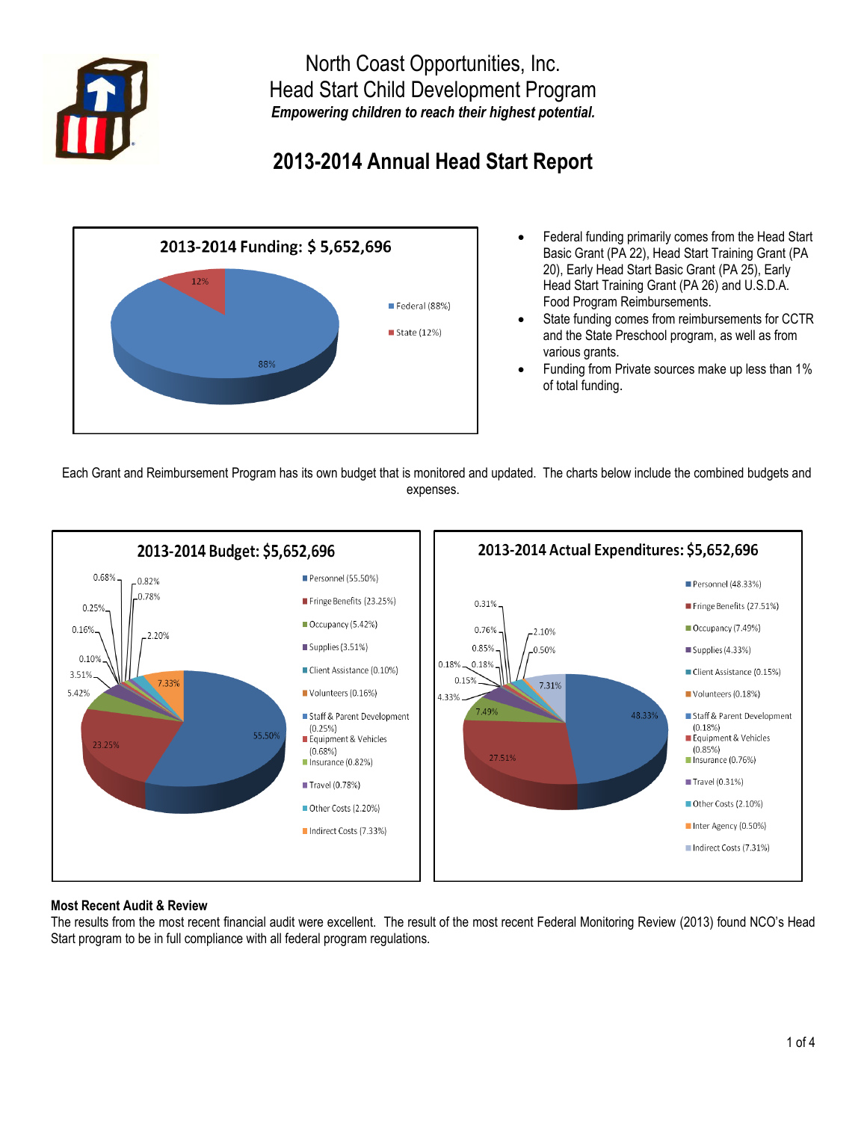

North Coast Opportunities, Inc. Head Start Child Development Program *Empowering children to reach their highest potential.*

# **2013-2014 Annual Head Start Report**



- Federal funding primarily comes from the Head Start Basic Grant (PA 22), Head Start Training Grant (PA 20), Early Head Start Basic Grant (PA 25), Early Head Start Training Grant (PA 26) and U.S.D.A. Food Program Reimbursements.
- State funding comes from reimbursements for CCTR and the State Preschool program, as well as from various grants.
- Funding from Private sources make up less than 1% of total funding.

 Each Grant and Reimbursement Program has its own budget that is monitored and updated. The charts below include the combined budgets and expenses.



## **Most Recent Audit & Review**

The results from the most recent financial audit were excellent. The result of the most recent Federal Monitoring Review (2013) found NCO's Head Start program to be in full compliance with all federal program regulations.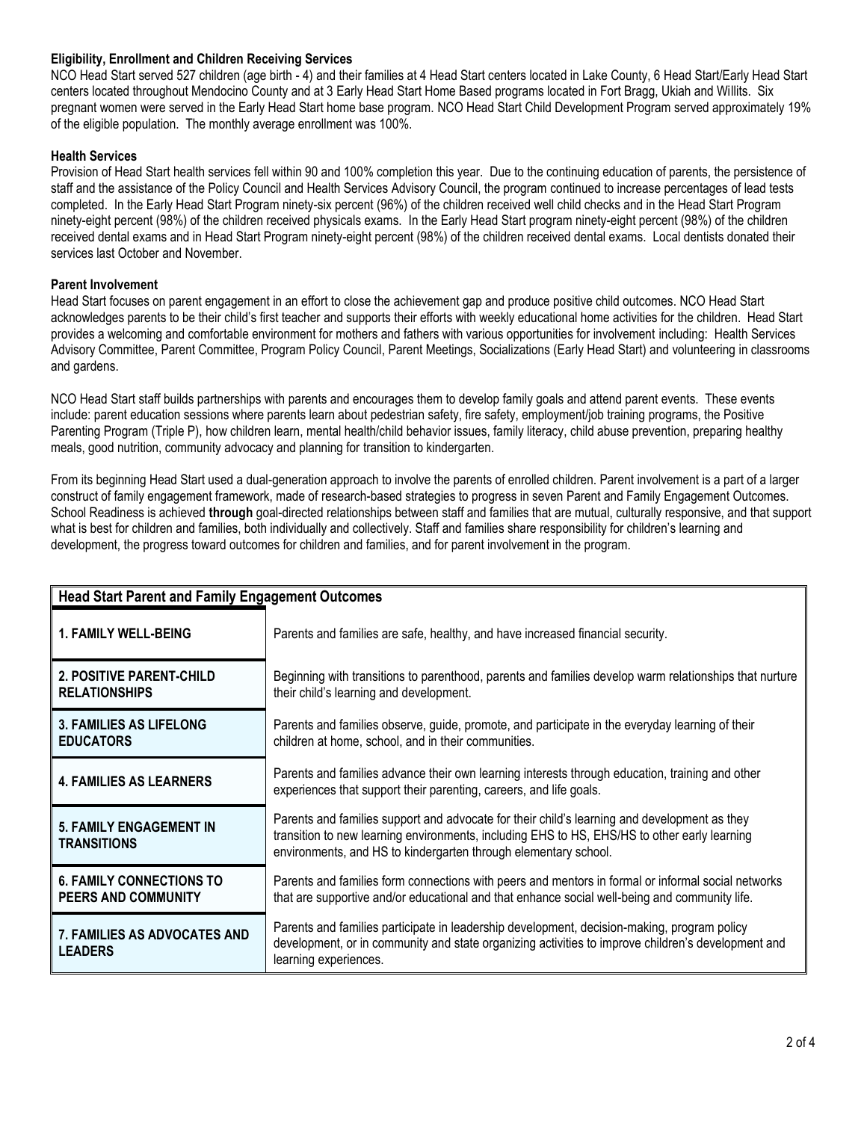### **Eligibility, Enrollment and Children Receiving Services**

NCO Head Start served 527 children (age birth - 4) and their families at 4 Head Start centers located in Lake County, 6 Head Start/Early Head Start centers located throughout Mendocino County and at 3 Early Head Start Home Based programs located in Fort Bragg, Ukiah and Willits. Six pregnant women were served in the Early Head Start home base program. NCO Head Start Child Development Program served approximately 19% of the eligible population. The monthly average enrollment was 100%.

### **Health Services**

Provision of Head Start health services fell within 90 and 100% completion this year. Due to the continuing education of parents, the persistence of staff and the assistance of the Policy Council and Health Services Advisory Council, the program continued to increase percentages of lead tests completed. In the Early Head Start Program ninety-six percent (96%) of the children received well child checks and in the Head Start Program ninety-eight percent (98%) of the children received physicals exams. In the Early Head Start program ninety-eight percent (98%) of the children received dental exams and in Head Start Program ninety-eight percent (98%) of the children received dental exams. Local dentists donated their services last October and November.

### **Parent Involvement**

Head Start focuses on parent engagement in an effort to close the achievement gap and produce positive child outcomes. NCO Head Start acknowledges parents to be their child's first teacher and supports their efforts with weekly educational home activities for the children. Head Start provides a welcoming and comfortable environment for mothers and fathers with various opportunities for involvement including: Health Services Advisory Committee, Parent Committee, Program Policy Council, Parent Meetings, Socializations (Early Head Start) and volunteering in classrooms and gardens.

NCO Head Start staff builds partnerships with parents and encourages them to develop family goals and attend parent events. These events include: parent education sessions where parents learn about pedestrian safety, fire safety, employment/job training programs, the Positive Parenting Program (Triple P), how children learn, mental health/child behavior issues, family literacy, child abuse prevention, preparing healthy meals, good nutrition, community advocacy and planning for transition to kindergarten.

From its beginning Head Start used a dual-generation approach to involve the parents of enrolled children. Parent involvement is a part of a larger construct of family engagement framework, made of research-based strategies to progress in seven Parent and Family Engagement Outcomes. School Readiness is achieved **through** goal-directed relationships between staff and families that are mutual, culturally responsive, and that support what is best for children and families, both individually and collectively. Staff and families share responsibility for children's learning and development, the progress toward outcomes for children and families, and for parent involvement in the program.

| <b>Head Start Parent and Family Engagement Outcomes</b>       |                                                                                                                                                                                                                                                                 |
|---------------------------------------------------------------|-----------------------------------------------------------------------------------------------------------------------------------------------------------------------------------------------------------------------------------------------------------------|
| <b>1. FAMILY WELL-BEING</b>                                   | Parents and families are safe, healthy, and have increased financial security.                                                                                                                                                                                  |
| 2. POSITIVE PARENT-CHILD<br><b>RELATIONSHIPS</b>              | Beginning with transitions to parenthood, parents and families develop warm relationships that nurture<br>their child's learning and development.                                                                                                               |
| <b>3. FAMILIES AS LIFELONG</b><br><b>EDUCATORS</b>            | Parents and families observe, guide, promote, and participate in the everyday learning of their<br>children at home, school, and in their communities.                                                                                                          |
| <b>4. FAMILIES AS LEARNERS</b>                                | Parents and families advance their own learning interests through education, training and other<br>experiences that support their parenting, careers, and life goals.                                                                                           |
| <b>5. FAMILY ENGAGEMENT IN</b><br><b>TRANSITIONS</b>          | Parents and families support and advocate for their child's learning and development as they<br>transition to new learning environments, including EHS to HS, EHS/HS to other early learning<br>environments, and HS to kindergarten through elementary school. |
| <b>6. FAMILY CONNECTIONS TO</b><br><b>PEERS AND COMMUNITY</b> | Parents and families form connections with peers and mentors in formal or informal social networks<br>that are supportive and/or educational and that enhance social well-being and community life.                                                             |
| <b>7. FAMILIES AS ADVOCATES AND</b><br><b>LEADERS</b>         | Parents and families participate in leadership development, decision-making, program policy<br>development, or in community and state organizing activities to improve children's development and<br>learning experiences.                                      |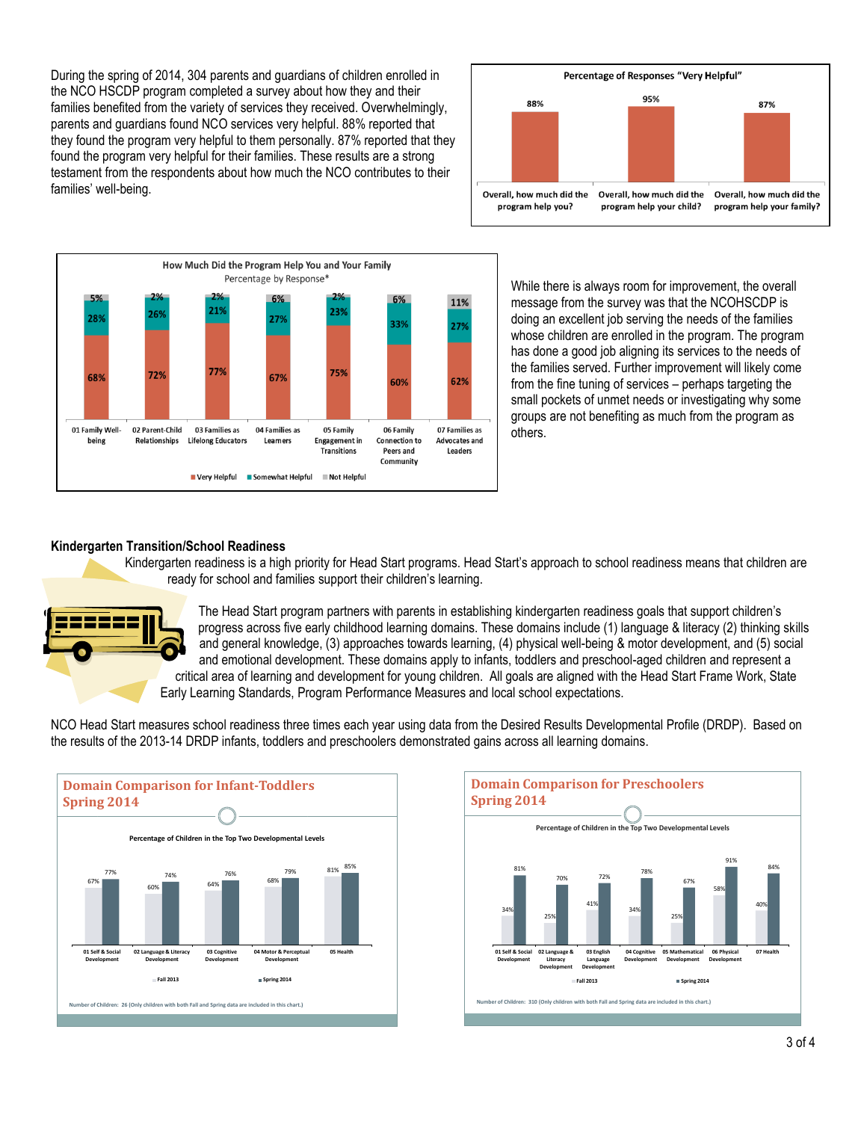During the spring of 2014, 304 parents and guardians of children enrolled in the NCO HSCDP program completed a survey about how they and their families benefited from the variety of services they received. Overwhelmingly, parents and guardians found NCO services very helpful. 88% reported that they found the program very helpful to them personally. 87% reported that they found the program very helpful for their families. These results are a strong testament from the respondents about how much the NCO contributes to their families' well-being.



While there is always room for improvement, the overall message from the survey was that the NCOHSCDP is doing an excellent job serving the needs of the families whose children are enrolled in the program. The program has done a good job aligning its services to the needs of the families served. Further improvement will likely come from the fine tuning of services – perhaps targeting the small pockets of unmet needs or investigating why some groups are not benefiting as much from the program as others.

Percentage of Responses "Very Helpful" 95%

Overall, how much did the

program help your child?

87%

Overall, how much did the program help your family?

88%

Overall, how much did the

program help you?

#### **Kindergarten Transition/School Readiness**

Kindergarten readiness is a high priority for Head Start programs. Head Start's approach to school readiness means that children are ready for school and families support their children's learning.



The Head Start program partners with parents in establishing kindergarten readiness goals that support children's progress across five early childhood learning domains. These domains include (1) language & literacy (2) thinking skills and general knowledge, (3) approaches towards learning, (4) physical well-being & motor development, and (5) social and emotional development. These domains apply to infants, toddlers and preschool-aged children and represent a critical area of learning and development for young children. All goals are aligned with the Head Start Frame Work, State Early Learning Standards, Program Performance Measures and local school expectations.

NCO Head Start measures school readiness three times each year using data from the Desired Results Developmental Profile (DRDP). Based on the results of the 2013-14 DRDP infants, toddlers and preschoolers demonstrated gains across all learning domains.